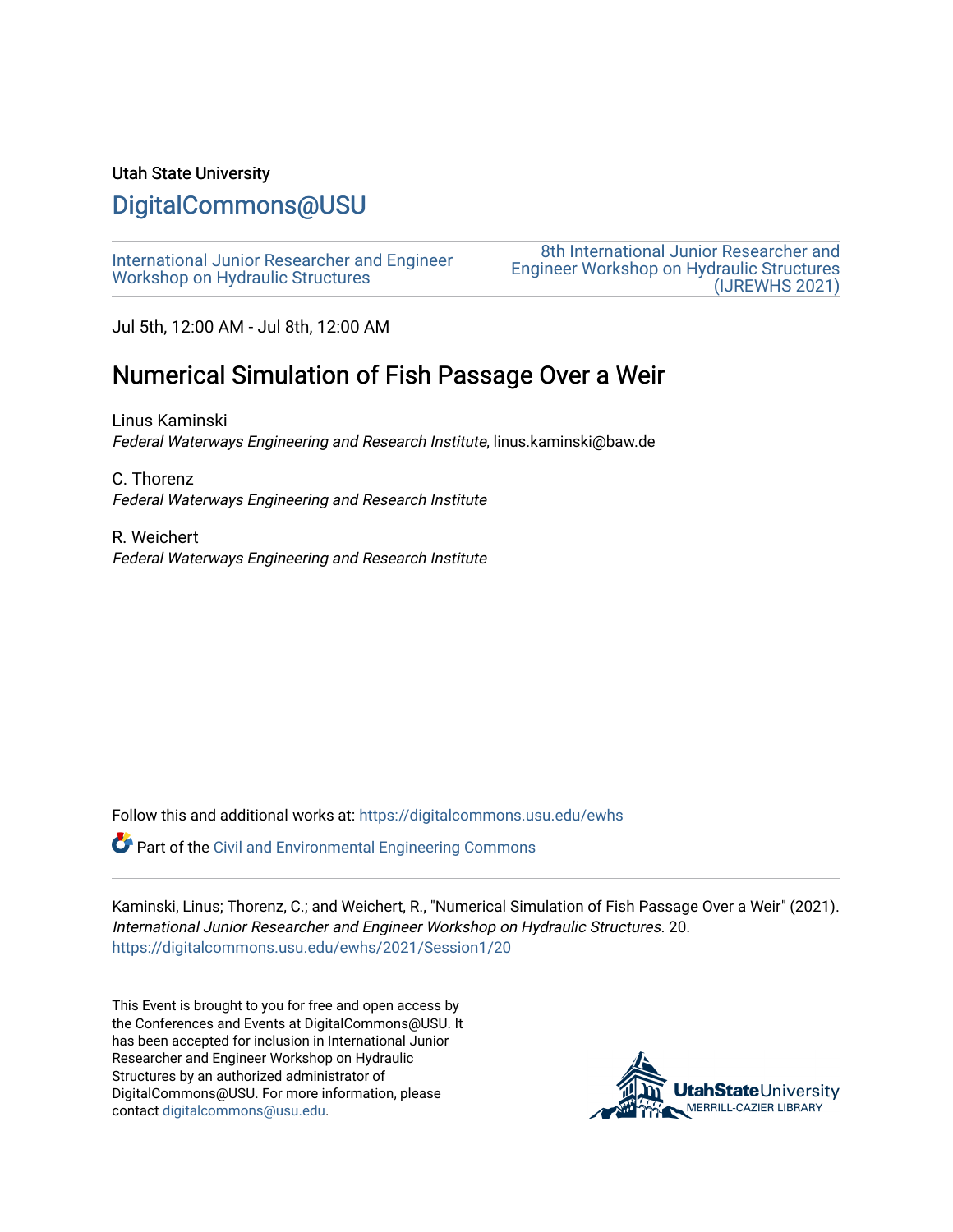#### Utah State University

# [DigitalCommons@USU](https://digitalcommons.usu.edu/)

[International Junior Researcher and Engineer](https://digitalcommons.usu.edu/ewhs) [Workshop on Hydraulic Structures](https://digitalcommons.usu.edu/ewhs)

[8th International Junior Researcher and](https://digitalcommons.usu.edu/ewhs/2021)  [Engineer Workshop on Hydraulic Structures](https://digitalcommons.usu.edu/ewhs/2021)  [\(IJREWHS 2021\)](https://digitalcommons.usu.edu/ewhs/2021) 

Jul 5th, 12:00 AM - Jul 8th, 12:00 AM

# Numerical Simulation of Fish Passage Over a Weir

Linus Kaminski Federal Waterways Engineering and Research Institute, linus.kaminski@baw.de

C. Thorenz Federal Waterways Engineering and Research Institute

R. Weichert Federal Waterways Engineering and Research Institute

Follow this and additional works at: [https://digitalcommons.usu.edu/ewhs](https://digitalcommons.usu.edu/ewhs?utm_source=digitalcommons.usu.edu%2Fewhs%2F2021%2FSession1%2F20&utm_medium=PDF&utm_campaign=PDFCoverPages) 

Part of the [Civil and Environmental Engineering Commons](http://network.bepress.com/hgg/discipline/251?utm_source=digitalcommons.usu.edu%2Fewhs%2F2021%2FSession1%2F20&utm_medium=PDF&utm_campaign=PDFCoverPages)

Kaminski, Linus; Thorenz, C.; and Weichert, R., "Numerical Simulation of Fish Passage Over a Weir" (2021). International Junior Researcher and Engineer Workshop on Hydraulic Structures. 20. [https://digitalcommons.usu.edu/ewhs/2021/Session1/20](https://digitalcommons.usu.edu/ewhs/2021/Session1/20?utm_source=digitalcommons.usu.edu%2Fewhs%2F2021%2FSession1%2F20&utm_medium=PDF&utm_campaign=PDFCoverPages) 

This Event is brought to you for free and open access by the Conferences and Events at DigitalCommons@USU. It has been accepted for inclusion in International Junior Researcher and Engineer Workshop on Hydraulic Structures by an authorized administrator of DigitalCommons@USU. For more information, please contact [digitalcommons@usu.edu](mailto:digitalcommons@usu.edu).

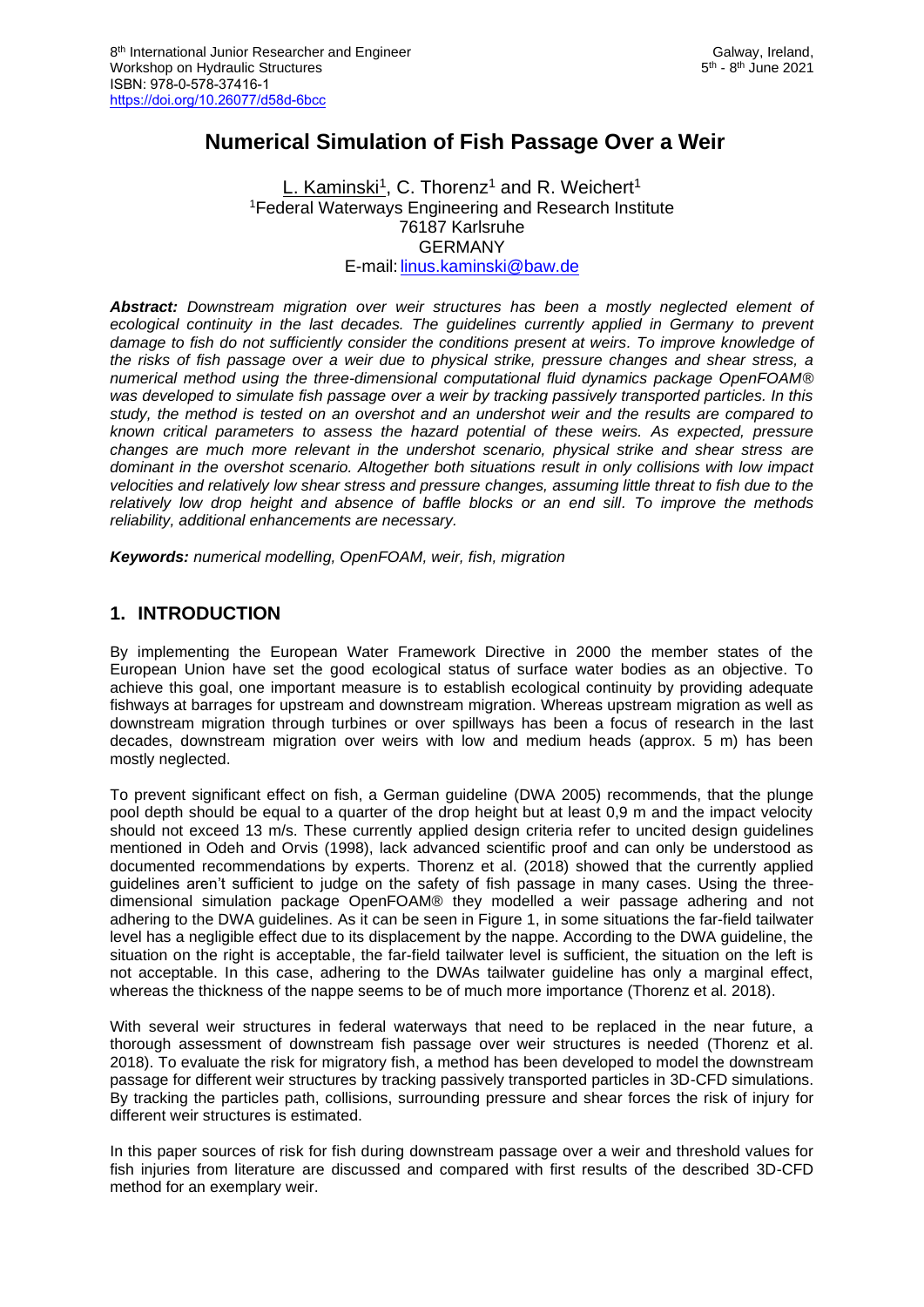## **Numerical Simulation of Fish Passage Over a Weir**

#### <u>L. Kaminski<sup>1</sup>,</u> C. Thorenz<sup>1</sup> and R. Weichert<sup>1</sup> <sup>1</sup>Federal Waterways Engineering and Research Institute 76187 Karlsruhe GERMANY E-mail: [linus.kaminski@baw.de](mailto:linus.kaminski@baw.de)

*Abstract: Downstream migration over weir structures has been a mostly neglected element of*  ecological continuity in the last decades. The guidelines currently applied in Germany to prevent damage to fish do not sufficiently consider the conditions present at weirs. To improve knowledge of *the risks of fish passage over a weir due to physical strike, pressure changes and shear stress, a numerical method using the three-dimensional computational fluid dynamics package OpenFOAM® was developed to simulate fish passage over a weir by tracking passively transported particles. In this study, the method is tested on an overshot and an undershot weir and the results are compared to known critical parameters to assess the hazard potential of these weirs. As expected, pressure changes are much more relevant in the undershot scenario, physical strike and shear stress are dominant in the overshot scenario. Altogether both situations result in only collisions with low impact velocities and relatively low shear stress and pressure changes, assuming little threat to fish due to the relatively low drop height and absence of baffle blocks or an end sill. To improve the methods reliability, additional enhancements are necessary.*

*Keywords: numerical modelling, OpenFOAM, weir, fish, migration*

#### **1. INTRODUCTION**

By implementing the European Water Framework Directive in 2000 the member states of the European Union have set the good ecological status of surface water bodies as an objective. To achieve this goal, one important measure is to establish ecological continuity by providing adequate fishways at barrages for upstream and downstream migration. Whereas upstream migration as well as downstream migration through turbines or over spillways has been a focus of research in the last decades, downstream migration over weirs with low and medium heads (approx. 5 m) has been mostly neglected.

To prevent significant effect on fish, a German guideline (DWA 2005) recommends, that the plunge pool depth should be equal to a quarter of the drop height but at least 0,9 m and the impact velocity should not exceed 13 m/s. These currently applied design criteria refer to uncited design guidelines mentioned in Odeh and Orvis (1998), lack advanced scientific proof and can only be understood as documented recommendations by experts. Thorenz et al. (2018) showed that the currently applied guidelines aren't sufficient to judge on the safety of fish passage in many cases. Using the threedimensional simulation package OpenFOAM® they modelled a weir passage adhering and not adhering to the DWA guidelines. As it can be seen in Figure 1, in some situations the far-field tailwater level has a negligible effect due to its displacement by the nappe. According to the DWA guideline, the situation on the right is acceptable, the far-field tailwater level is sufficient, the situation on the left is not acceptable. In this case, adhering to the DWAs tailwater guideline has only a marginal effect, whereas the thickness of the nappe seems to be of much more importance (Thorenz et al. 2018).

With several weir structures in federal waterways that need to be replaced in the near future, a thorough assessment of downstream fish passage over weir structures is needed (Thorenz et al. 2018). To evaluate the risk for migratory fish, a method has been developed to model the downstream passage for different weir structures by tracking passively transported particles in 3D-CFD simulations. By tracking the particles path, collisions, surrounding pressure and shear forces the risk of injury for different weir structures is estimated.

In this paper sources of risk for fish during downstream passage over a weir and threshold values for fish injuries from literature are discussed and compared with first results of the described 3D-CFD method for an exemplary weir.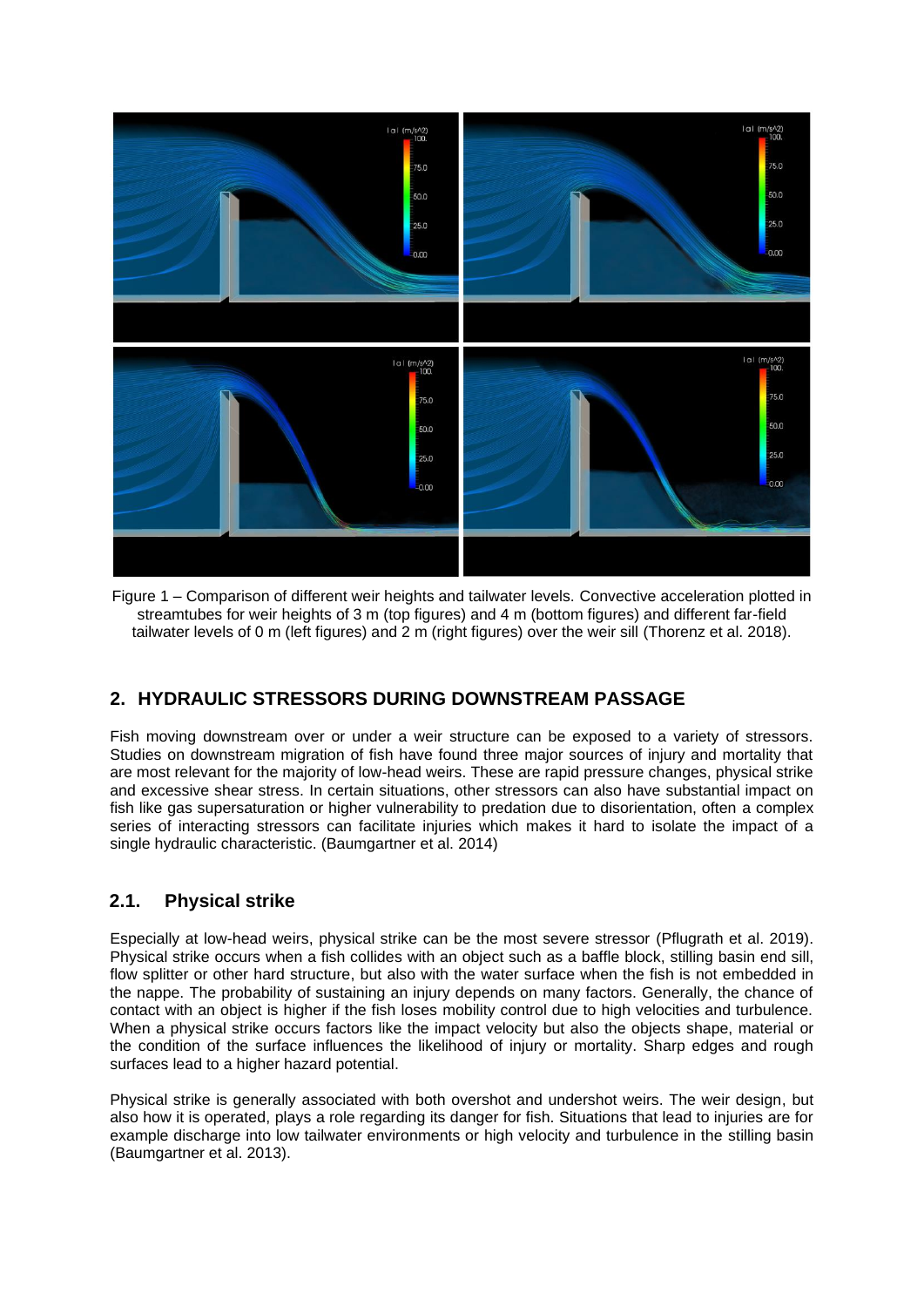

Figure 1 – Comparison of different weir heights and tailwater levels. Convective acceleration plotted in streamtubes for weir heights of 3 m (top figures) and 4 m (bottom figures) and different far-field tailwater levels of 0 m (left figures) and 2 m (right figures) over the weir sill (Thorenz et al. 2018).

## **2. HYDRAULIC STRESSORS DURING DOWNSTREAM PASSAGE**

Fish moving downstream over or under a weir structure can be exposed to a variety of stressors. Studies on downstream migration of fish have found three major sources of injury and mortality that are most relevant for the majority of low-head weirs. These are rapid pressure changes, physical strike and excessive shear stress. In certain situations, other stressors can also have substantial impact on fish like gas supersaturation or higher vulnerability to predation due to disorientation, often a complex series of interacting stressors can facilitate injuries which makes it hard to isolate the impact of a single hydraulic characteristic. (Baumgartner et al. 2014)

### **2.1. Physical strike**

Especially at low-head weirs, physical strike can be the most severe stressor (Pflugrath et al. 2019). Physical strike occurs when a fish collides with an object such as a baffle block, stilling basin end sill, flow splitter or other hard structure, but also with the water surface when the fish is not embedded in the nappe. The probability of sustaining an injury depends on many factors. Generally, the chance of contact with an object is higher if the fish loses mobility control due to high velocities and turbulence. When a physical strike occurs factors like the impact velocity but also the objects shape, material or the condition of the surface influences the likelihood of injury or mortality. Sharp edges and rough surfaces lead to a higher hazard potential.

Physical strike is generally associated with both overshot and undershot weirs. The weir design, but also how it is operated, plays a role regarding its danger for fish. Situations that lead to injuries are for example discharge into low tailwater environments or high velocity and turbulence in the stilling basin (Baumgartner et al. 2013).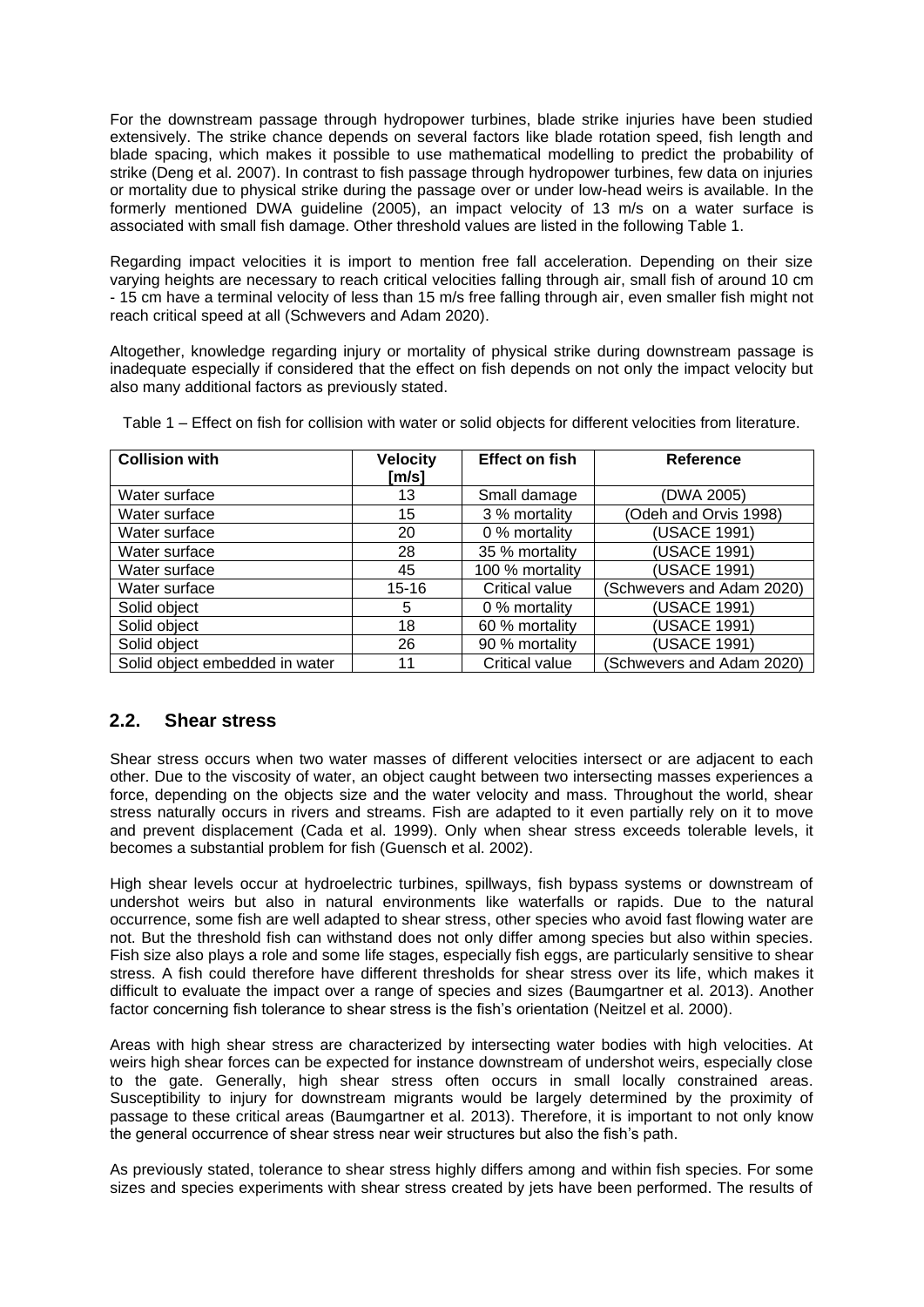For the downstream passage through hydropower turbines, blade strike injuries have been studied extensively. The strike chance depends on several factors like blade rotation speed, fish length and blade spacing, which makes it possible to use mathematical modelling to predict the probability of strike (Deng et al. 2007). In contrast to fish passage through hydropower turbines, few data on injuries or mortality due to physical strike during the passage over or under low-head weirs is available. In the formerly mentioned DWA guideline (2005), an impact velocity of 13 m/s on a water surface is associated with small fish damage. Other threshold values are listed in the following Table 1.

Regarding impact velocities it is import to mention free fall acceleration. Depending on their size varying heights are necessary to reach critical velocities falling through air, small fish of around 10 cm - 15 cm have a terminal velocity of less than 15 m/s free falling through air, even smaller fish might not reach critical speed at all (Schwevers and Adam 2020).

Altogether, knowledge regarding injury or mortality of physical strike during downstream passage is inadequate especially if considered that the effect on fish depends on not only the impact velocity but also many additional factors as previously stated.

| <b>Collision with</b>          | <b>Velocity</b><br>[m/s] | <b>Effect on fish</b> | Reference                 |
|--------------------------------|--------------------------|-----------------------|---------------------------|
| Water surface                  | 13                       | Small damage          | (DWA 2005)                |
| Water surface                  | 15                       | 3 % mortality         | (Odeh and Orvis 1998)     |
| Water surface                  | 20                       | 0 % mortality         | (USACE 1991)              |
| Water surface                  | 28                       | 35 % mortality        | (USACE 1991)              |
| Water surface                  | 45                       | 100 % mortality       | (USACE 1991)              |
| Water surface                  | $15 - 16$                | Critical value        | (Schwevers and Adam 2020) |
| Solid object                   | 5                        | 0 % mortality         | (USACE 1991)              |
| Solid object                   | 18                       | 60 % mortality        | (USACE 1991)              |
| Solid object                   | 26                       | 90 % mortality        | (USACE 1991)              |
| Solid object embedded in water | 11                       | Critical value        | (Schwevers and Adam 2020) |

Table 1 – Effect on fish for collision with water or solid objects for different velocities from literature.

### **2.2. Shear stress**

Shear stress occurs when two water masses of different velocities intersect or are adjacent to each other. Due to the viscosity of water, an object caught between two intersecting masses experiences a force, depending on the objects size and the water velocity and mass. Throughout the world, shear stress naturally occurs in rivers and streams. Fish are adapted to it even partially rely on it to move and prevent displacement (Cada et al. 1999). Only when shear stress exceeds tolerable levels, it becomes a substantial problem for fish (Guensch et al. 2002).

High shear levels occur at hydroelectric turbines, spillways, fish bypass systems or downstream of undershot weirs but also in natural environments like waterfalls or rapids. Due to the natural occurrence, some fish are well adapted to shear stress, other species who avoid fast flowing water are not. But the threshold fish can withstand does not only differ among species but also within species. Fish size also plays a role and some life stages, especially fish eggs, are particularly sensitive to shear stress. A fish could therefore have different thresholds for shear stress over its life, which makes it difficult to evaluate the impact over a range of species and sizes (Baumgartner et al. 2013). Another factor concerning fish tolerance to shear stress is the fish's orientation (Neitzel et al. 2000).

Areas with high shear stress are characterized by intersecting water bodies with high velocities. At weirs high shear forces can be expected for instance downstream of undershot weirs, especially close to the gate. Generally, high shear stress often occurs in small locally constrained areas. Susceptibility to injury for downstream migrants would be largely determined by the proximity of passage to these critical areas (Baumgartner et al. 2013). Therefore, it is important to not only know the general occurrence of shear stress near weir structures but also the fish's path.

As previously stated, tolerance to shear stress highly differs among and within fish species. For some sizes and species experiments with shear stress created by jets have been performed. The results of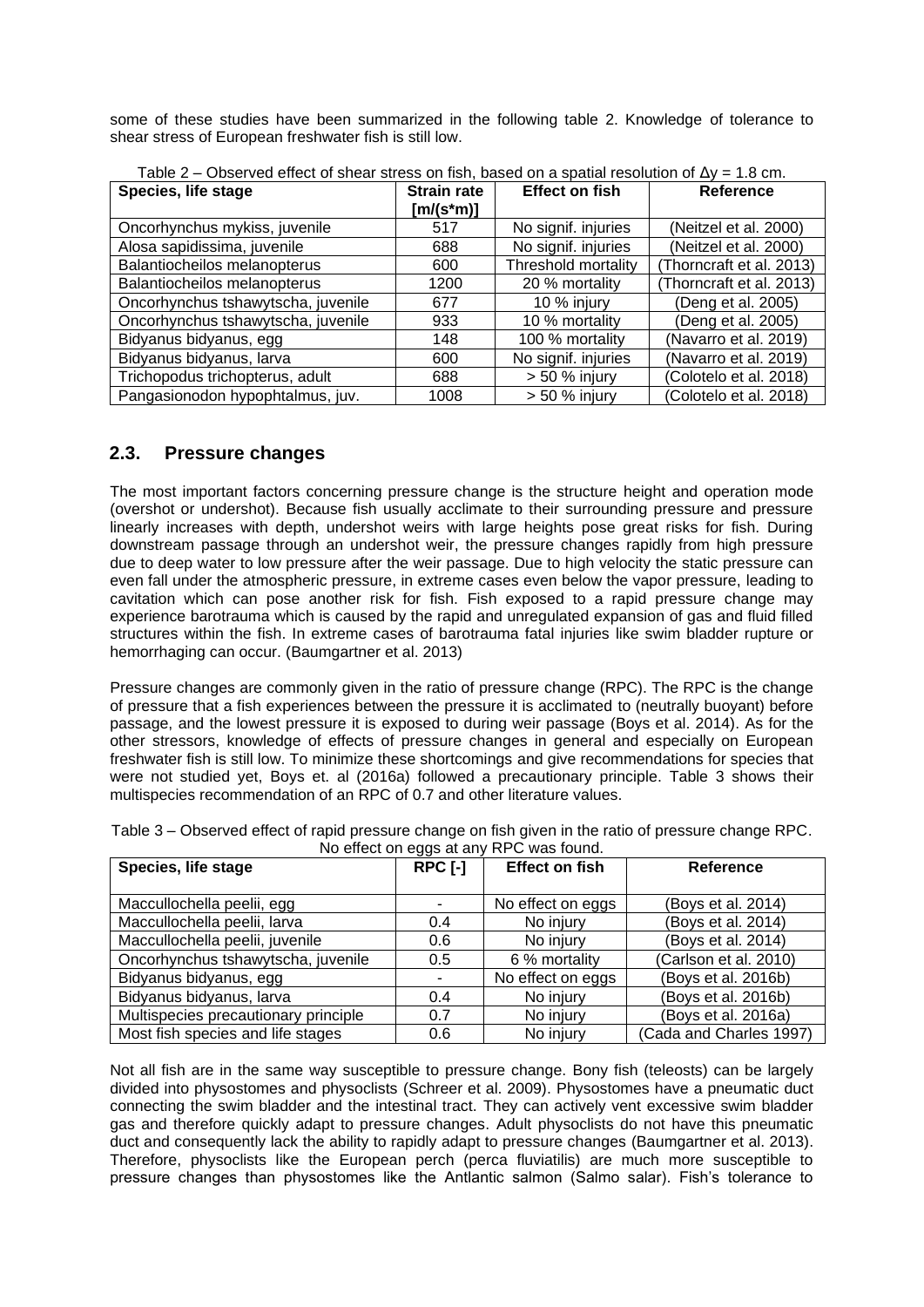some of these studies have been summarized in the following table 2. Knowledge of tolerance to shear stress of European freshwater fish is still low.

| Species, life stage                | <b>Strain rate</b> | <b>Effect on fish</b> | Reference                |
|------------------------------------|--------------------|-----------------------|--------------------------|
|                                    | $[m/(s*m)]$        |                       |                          |
| Oncorhynchus mykiss, juvenile      | 517                | No signif. injuries   | (Neitzel et al. 2000)    |
| Alosa sapidissima, juvenile        | 688                | No signif. injuries   | (Neitzel et al. 2000)    |
| Balantiocheilos melanopterus       | 600                | Threshold mortality   | (Thorncraft et al. 2013) |
| Balantiocheilos melanopterus       | 1200               | 20 % mortality        | (Thorncraft et al. 2013) |
| Oncorhynchus tshawytscha, juvenile | 677                | 10 % injury           | (Deng et al. 2005)       |
| Oncorhynchus tshawytscha, juvenile | 933                | 10 % mortality        | (Deng et al. 2005)       |
| Bidyanus bidyanus, egg             | 148                | 100 % mortality       | (Navarro et al. 2019)    |
| Bidyanus bidyanus, larva           | 600                | No signif. injuries   | (Navarro et al. 2019)    |
| Trichopodus trichopterus, adult    | 688                | $> 50 \%$ injury      | (Colotelo et al. 2018)   |
| Pangasionodon hypophtalmus, juv.   | 1008               | $> 50 \%$ injury      | (Colotelo et al. 2018)   |

Table 2 – Observed effect of shear stress on fish, based on a spatial resolution of  $\Delta y = 1.8$  cm.

#### **2.3. Pressure changes**

The most important factors concerning pressure change is the structure height and operation mode (overshot or undershot). Because fish usually acclimate to their surrounding pressure and pressure linearly increases with depth, undershot weirs with large heights pose great risks for fish. During downstream passage through an undershot weir, the pressure changes rapidly from high pressure due to deep water to low pressure after the weir passage. Due to high velocity the static pressure can even fall under the atmospheric pressure, in extreme cases even below the vapor pressure, leading to cavitation which can pose another risk for fish. Fish exposed to a rapid pressure change may experience barotrauma which is caused by the rapid and unregulated expansion of gas and fluid filled structures within the fish. In extreme cases of barotrauma fatal injuries like swim bladder rupture or hemorrhaging can occur. (Baumgartner et al. 2013)

Pressure changes are commonly given in the ratio of pressure change (RPC). The RPC is the change of pressure that a fish experiences between the pressure it is acclimated to (neutrally buoyant) before passage, and the lowest pressure it is exposed to during weir passage (Boys et al. 2014). As for the other stressors, knowledge of effects of pressure changes in general and especially on European freshwater fish is still low. To minimize these shortcomings and give recommendations for species that were not studied yet, Boys et. al (2016a) followed a precautionary principle. Table 3 shows their multispecies recommendation of an RPC of 0.7 and other literature values.

| Species, life stage                  | RPC [-]                  | <b>Effect on fish</b> | Reference               |
|--------------------------------------|--------------------------|-----------------------|-------------------------|
| Maccullochella peelii, egg           | ٠                        | No effect on eggs     | (Boys et al. 2014)      |
| Maccullochella peelii, larva         | 0.4                      | No injury             | (Boys et al. 2014)      |
| Maccullochella peelii, juvenile      | 0.6                      | No injury             | (Boys et al. 2014)      |
| Oncorhynchus tshawytscha, juvenile   | 0.5                      | 6 % mortality         | (Carlson et al. 2010)   |
| Bidyanus bidyanus, egg               | $\overline{\phantom{a}}$ | No effect on eggs     | (Boys et al. 2016b)     |
| Bidyanus bidyanus, larva             | 0.4                      | No injury             | (Boys et al. 2016b)     |
| Multispecies precautionary principle | 0.7                      | No injury             | (Boys et al. 2016a)     |
| Most fish species and life stages    | 0.6                      | No injury             | (Cada and Charles 1997) |

Table 3 – Observed effect of rapid pressure change on fish given in the ratio of pressure change RPC. No effect on eggs at any RPC was found.

Not all fish are in the same way susceptible to pressure change. Bony fish (teleosts) can be largely divided into physostomes and physoclists (Schreer et al. 2009). Physostomes have a pneumatic duct connecting the swim bladder and the intestinal tract. They can actively vent excessive swim bladder gas and therefore quickly adapt to pressure changes. Adult physoclists do not have this pneumatic duct and consequently lack the ability to rapidly adapt to pressure changes (Baumgartner et al. 2013). Therefore, physoclists like the European perch (perca fluviatilis) are much more susceptible to pressure changes than physostomes like the Antlantic salmon (Salmo salar). Fish's tolerance to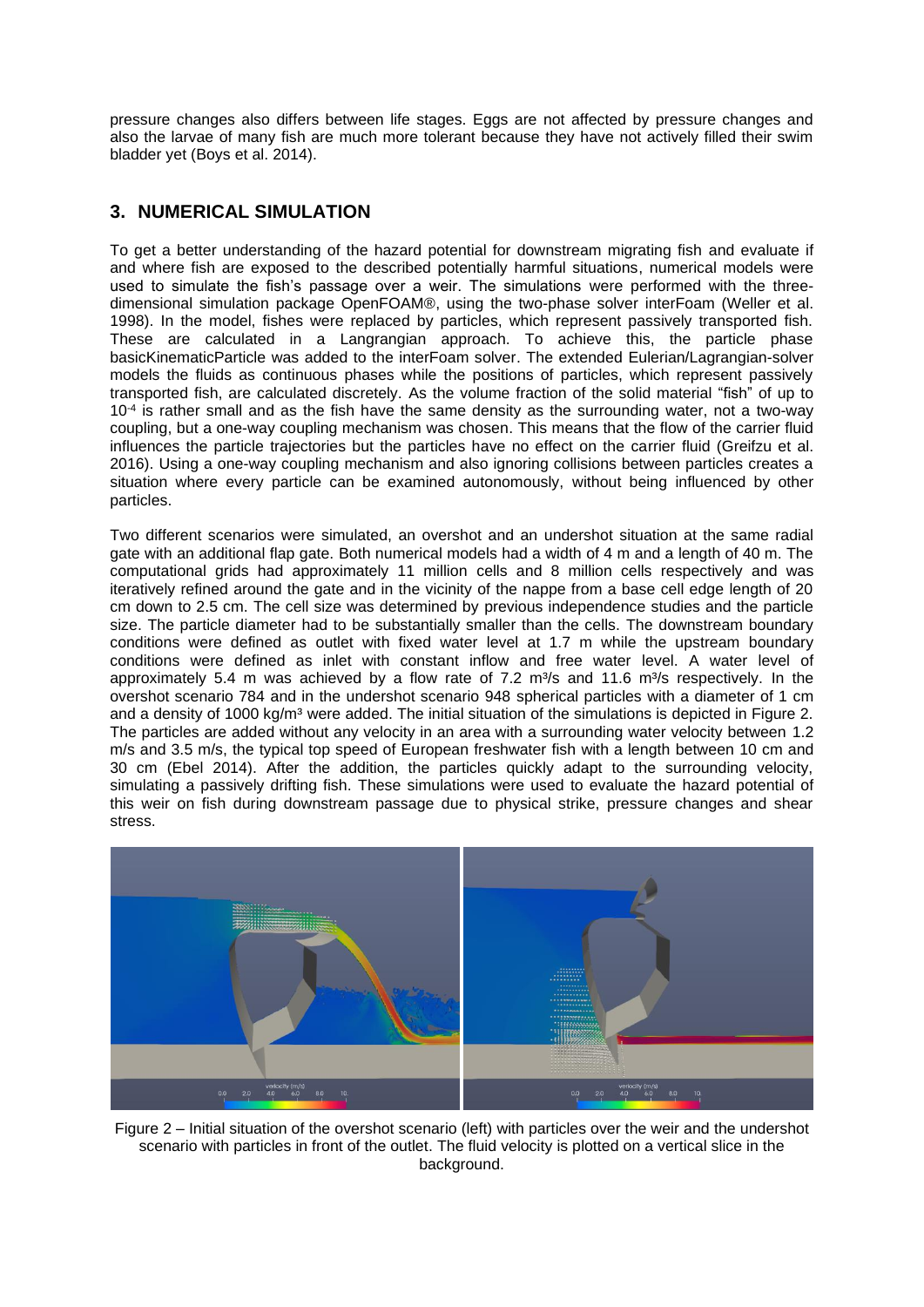pressure changes also differs between life stages. Eggs are not affected by pressure changes and also the larvae of many fish are much more tolerant because they have not actively filled their swim bladder yet (Boys et al. 2014).

## **3. NUMERICAL SIMULATION**

To get a better understanding of the hazard potential for downstream migrating fish and evaluate if and where fish are exposed to the described potentially harmful situations, numerical models were used to simulate the fish's passage over a weir. The simulations were performed with the threedimensional simulation package OpenFOAM®, using the two-phase solver interFoam (Weller et al. 1998). In the model, fishes were replaced by particles, which represent passively transported fish. These are calculated in a Langrangian approach. To achieve this, the particle phase basicKinematicParticle was added to the interFoam solver. The extended Eulerian/Lagrangian-solver models the fluids as continuous phases while the positions of particles, which represent passively transported fish, are calculated discretely. As the volume fraction of the solid material "fish" of up to 10-4 is rather small and as the fish have the same density as the surrounding water, not a two-way coupling, but a one-way coupling mechanism was chosen. This means that the flow of the carrier fluid influences the particle trajectories but the particles have no effect on the carrier fluid (Greifzu et al. 2016). Using a one-way coupling mechanism and also ignoring collisions between particles creates a situation where every particle can be examined autonomously, without being influenced by other particles.

Two different scenarios were simulated, an overshot and an undershot situation at the same radial gate with an additional flap gate. Both numerical models had a width of 4 m and a length of 40 m. The computational grids had approximately 11 million cells and 8 million cells respectively and was iteratively refined around the gate and in the vicinity of the nappe from a base cell edge length of 20 cm down to 2.5 cm. The cell size was determined by previous independence studies and the particle size. The particle diameter had to be substantially smaller than the cells. The downstream boundary conditions were defined as outlet with fixed water level at 1.7 m while the upstream boundary conditions were defined as inlet with constant inflow and free water level. A water level of approximately 5.4 m was achieved by a flow rate of 7.2  $m\frac{3}{5}$  and 11.6  $m\frac{3}{5}$  respectively. In the overshot scenario 784 and in the undershot scenario 948 spherical particles with a diameter of 1 cm and a density of 1000 kg/m<sup>3</sup> were added. The initial situation of the simulations is depicted in Figure 2. The particles are added without any velocity in an area with a surrounding water velocity between 1.2 m/s and 3.5 m/s, the typical top speed of European freshwater fish with a length between 10 cm and 30 cm (Ebel 2014). After the addition, the particles quickly adapt to the surrounding velocity, simulating a passively drifting fish. These simulations were used to evaluate the hazard potential of this weir on fish during downstream passage due to physical strike, pressure changes and shear stress.



Figure 2 – Initial situation of the overshot scenario (left) with particles over the weir and the undershot scenario with particles in front of the outlet. The fluid velocity is plotted on a vertical slice in the background.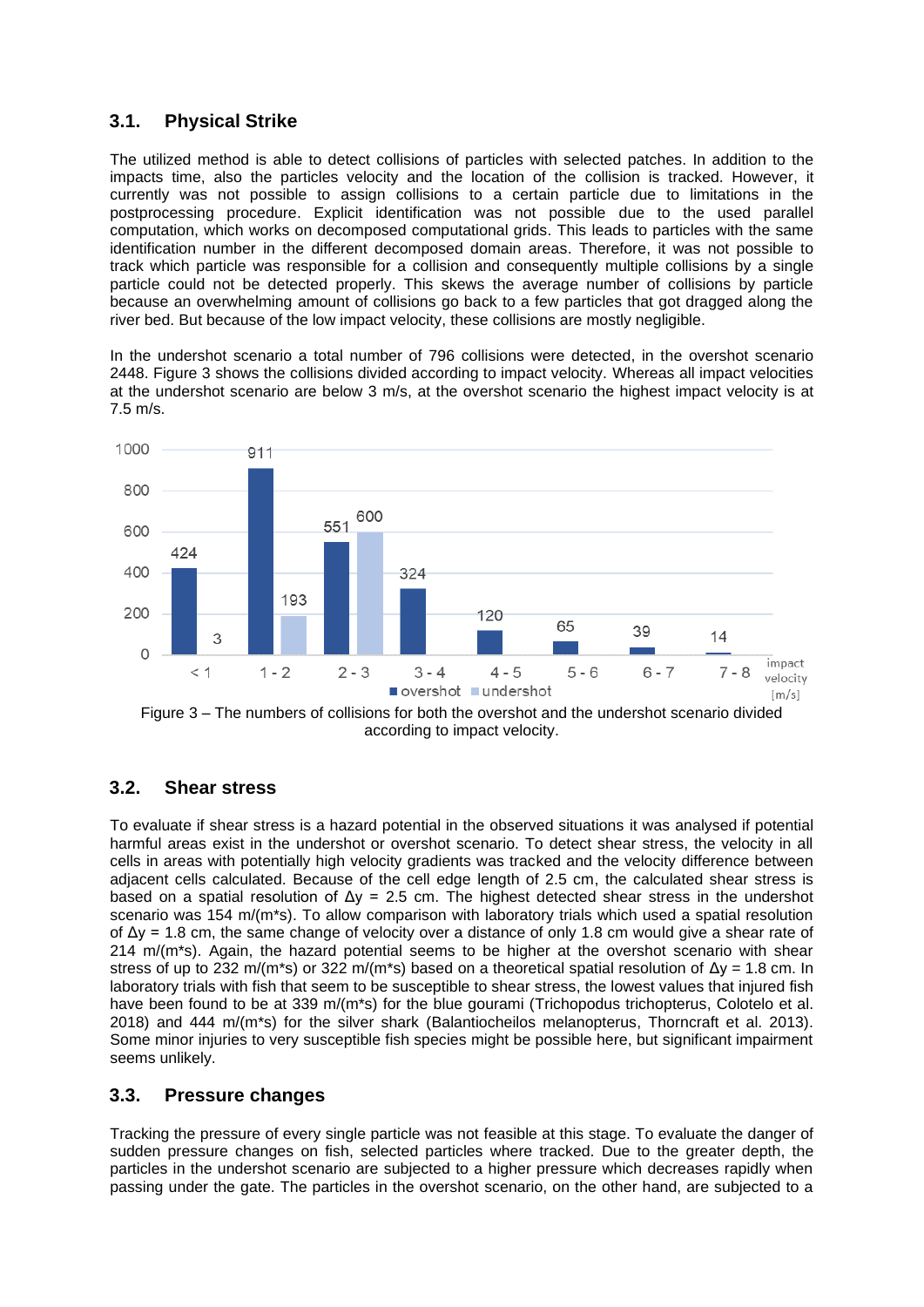#### **3.1. Physical Strike**

The utilized method is able to detect collisions of particles with selected patches. In addition to the impacts time, also the particles velocity and the location of the collision is tracked. However, it currently was not possible to assign collisions to a certain particle due to limitations in the postprocessing procedure. Explicit identification was not possible due to the used parallel computation, which works on decomposed computational grids. This leads to particles with the same identification number in the different decomposed domain areas. Therefore, it was not possible to track which particle was responsible for a collision and consequently multiple collisions by a single particle could not be detected properly. This skews the average number of collisions by particle because an overwhelming amount of collisions go back to a few particles that got dragged along the river bed. But because of the low impact velocity, these collisions are mostly negligible.

In the undershot scenario a total number of 796 collisions were detected, in the overshot scenario 2448. Figure 3 shows the collisions divided according to impact velocity. Whereas all impact velocities at the undershot scenario are below 3 m/s, at the overshot scenario the highest impact velocity is at 7.5 m/s.





#### **3.2. Shear stress**

To evaluate if shear stress is a hazard potential in the observed situations it was analysed if potential harmful areas exist in the undershot or overshot scenario. To detect shear stress, the velocity in all cells in areas with potentially high velocity gradients was tracked and the velocity difference between adjacent cells calculated. Because of the cell edge length of 2.5 cm, the calculated shear stress is based on a spatial resolution of  $\Delta y = 2.5$  cm. The highest detected shear stress in the undershot scenario was 154 m/(m\*s). To allow comparison with laboratory trials which used a spatial resolution of  $\Delta y = 1.8$  cm, the same change of velocity over a distance of only 1.8 cm would give a shear rate of  $214 \text{ m/m}^*$ s). Again, the hazard potential seems to be higher at the overshot scenario with shear stress of up to 232 m/(m\*s) or 322 m/(m\*s) based on a theoretical spatial resolution of  $\Delta y = 1.8$  cm. In laboratory trials with fish that seem to be susceptible to shear stress, the lowest values that injured fish have been found to be at 339 m/(m\*s) for the blue gourami (Trichopodus trichopterus, Colotelo et al. 2018) and 444 m/(m\*s) for the silver shark (Balantiocheilos melanopterus, Thorncraft et al. 2013). Some minor injuries to very susceptible fish species might be possible here, but significant impairment seems unlikely.

#### **3.3. Pressure changes**

Tracking the pressure of every single particle was not feasible at this stage. To evaluate the danger of sudden pressure changes on fish, selected particles where tracked. Due to the greater depth, the particles in the undershot scenario are subjected to a higher pressure which decreases rapidly when passing under the gate. The particles in the overshot scenario, on the other hand, are subjected to a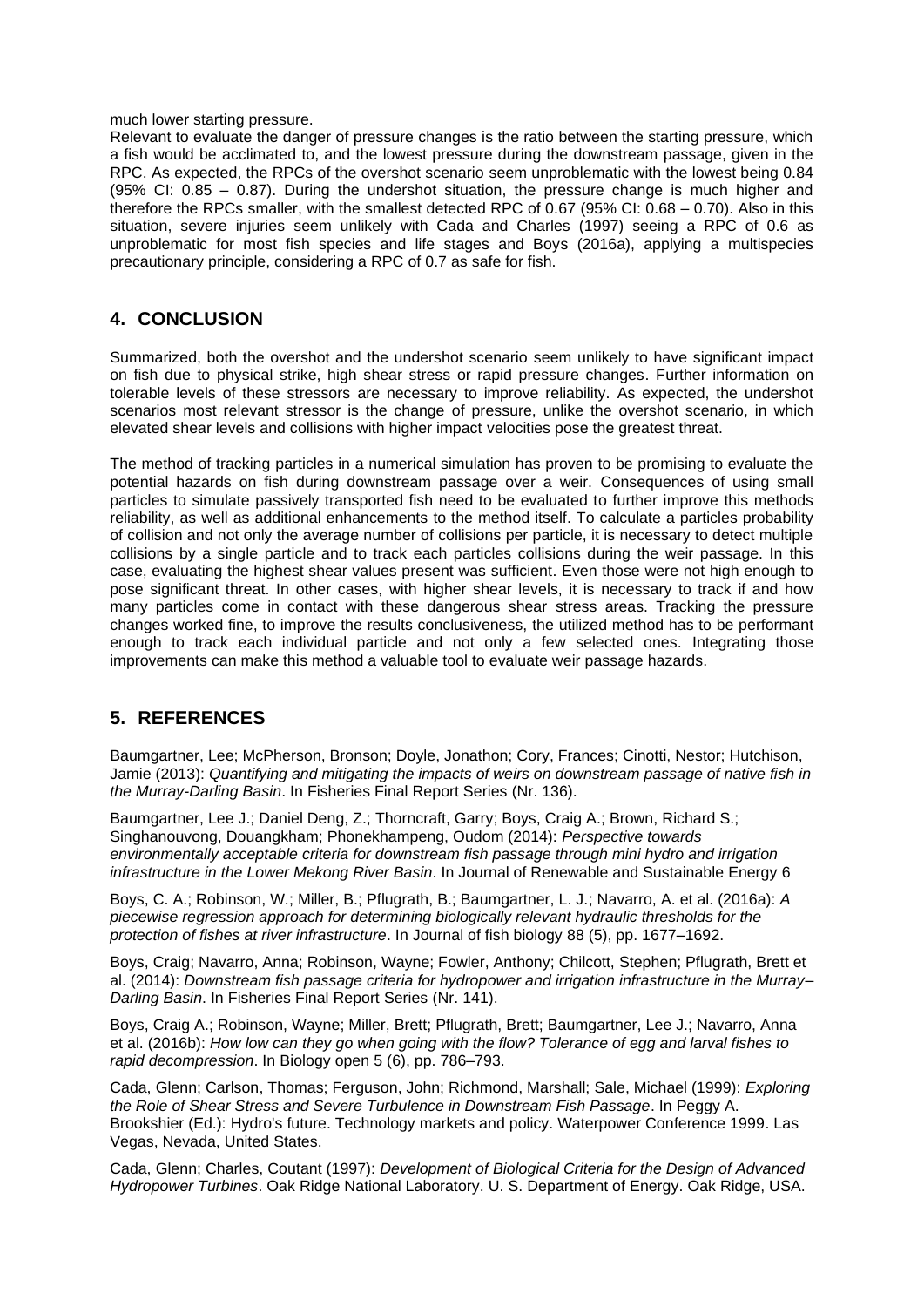#### much lower starting pressure.

Relevant to evaluate the danger of pressure changes is the ratio between the starting pressure, which a fish would be acclimated to, and the lowest pressure during the downstream passage, given in the RPC. As expected, the RPCs of the overshot scenario seem unproblematic with the lowest being 0.84 (95% CI: 0.85 – 0.87). During the undershot situation, the pressure change is much higher and therefore the RPCs smaller, with the smallest detected RPC of 0.67 (95% CI: 0.68 – 0.70). Also in this situation, severe injuries seem unlikely with Cada and Charles (1997) seeing a RPC of 0.6 as unproblematic for most fish species and life stages and Boys (2016a), applying a multispecies precautionary principle, considering a RPC of 0.7 as safe for fish.

#### **4. CONCLUSION**

Summarized, both the overshot and the undershot scenario seem unlikely to have significant impact on fish due to physical strike, high shear stress or rapid pressure changes. Further information on tolerable levels of these stressors are necessary to improve reliability. As expected, the undershot scenarios most relevant stressor is the change of pressure, unlike the overshot scenario, in which elevated shear levels and collisions with higher impact velocities pose the greatest threat.

The method of tracking particles in a numerical simulation has proven to be promising to evaluate the potential hazards on fish during downstream passage over a weir. Consequences of using small particles to simulate passively transported fish need to be evaluated to further improve this methods reliability, as well as additional enhancements to the method itself. To calculate a particles probability of collision and not only the average number of collisions per particle, it is necessary to detect multiple collisions by a single particle and to track each particles collisions during the weir passage. In this case, evaluating the highest shear values present was sufficient. Even those were not high enough to pose significant threat. In other cases, with higher shear levels, it is necessary to track if and how many particles come in contact with these dangerous shear stress areas. Tracking the pressure changes worked fine, to improve the results conclusiveness, the utilized method has to be performant enough to track each individual particle and not only a few selected ones. Integrating those improvements can make this method a valuable tool to evaluate weir passage hazards.

#### **5. REFERENCES**

Baumgartner, Lee; McPherson, Bronson; Doyle, Jonathon; Cory, Frances; Cinotti, Nestor; Hutchison, Jamie (2013): *Quantifying and mitigating the impacts of weirs on downstream passage of native fish in the Murray-Darling Basin*. In Fisheries Final Report Series (Nr. 136).

Baumgartner, Lee J.; Daniel Deng, Z.; Thorncraft, Garry; Boys, Craig A.; Brown, Richard S.; Singhanouvong, Douangkham; Phonekhampeng, Oudom (2014): *Perspective towards environmentally acceptable criteria for downstream fish passage through mini hydro and irrigation infrastructure in the Lower Mekong River Basin*. In Journal of Renewable and Sustainable Energy 6

Boys, C. A.; Robinson, W.; Miller, B.; Pflugrath, B.; Baumgartner, L. J.; Navarro, A. et al. (2016a): *A piecewise regression approach for determining biologically relevant hydraulic thresholds for the protection of fishes at river infrastructure*. In Journal of fish biology 88 (5), pp. 1677–1692.

Boys, Craig; Navarro, Anna; Robinson, Wayne; Fowler, Anthony; Chilcott, Stephen; Pflugrath, Brett et al. (2014): *Downstream fish passage criteria for hydropower and irrigation infrastructure in the Murray– Darling Basin*. In Fisheries Final Report Series (Nr. 141).

Boys, Craig A.; Robinson, Wayne; Miller, Brett; Pflugrath, Brett; Baumgartner, Lee J.; Navarro, Anna et al. (2016b): *How low can they go when going with the flow? Tolerance of egg and larval fishes to rapid decompression*. In Biology open 5 (6), pp. 786–793.

Cada, Glenn; Carlson, Thomas; Ferguson, John; Richmond, Marshall; Sale, Michael (1999): *Exploring the Role of Shear Stress and Severe Turbulence in Downstream Fish Passage*. In Peggy A. Brookshier (Ed.): Hydro's future. Technology markets and policy. Waterpower Conference 1999. Las Vegas, Nevada, United States.

Cada, Glenn; Charles, Coutant (1997): *Development of Biological Criteria for the Design of Advanced Hydropower Turbines*. Oak Ridge National Laboratory. U. S. Department of Energy. Oak Ridge, USA.